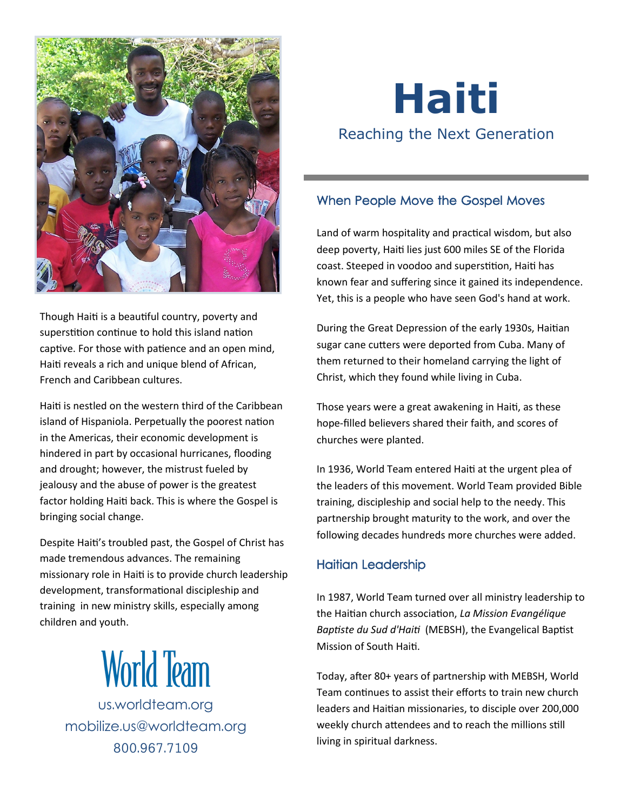

Though Haiti is a beautiful country, poverty and superstition continue to hold this island nation captive. For those with patience and an open mind, Haiti reveals a rich and unique blend of African, French and Caribbean cultures.

Haiti is nestled on the western third of the Caribbean island of Hispaniola. Perpetually the poorest nation in the Americas, their economic development is hindered in part by occasional hurricanes, flooding and drought; however, the mistrust fueled by jealousy and the abuse of power is the greatest factor holding Haiti back. This is where the Gospel is bringing social change.

Despite Haiti's troubled past, the Gospel of Christ has made tremendous advances. The remaining missionary role in Haiti is to provide church leadership development, transformational discipleship and training in new ministry skills, especially among children and youth.



<us.worldteam.org> [mobilize.us@worldteam.org](mailto:mobilize@worldteam.org) 800.967.7109

# **Haiti** Reaching the Next Generation

### When People Move the Gospel Moves

Land of warm hospitality and practical wisdom, but also deep poverty, Haiti lies just 600 miles SE of the Florida coast. Steeped in voodoo and superstition, Haiti has known fear and suffering since it gained its independence. Yet, this is a people who have seen God's hand at work.

During the Great Depression of the early 1930s, Haitian sugar cane cutters were deported from Cuba. Many of them returned to their homeland carrying the light of Christ, which they found while living in Cuba.

Those years were a great awakening in Haiti, as these hope-filled believers shared their faith, and scores of churches were planted.

In 1936, World Team entered Haiti at the urgent plea of the leaders of this movement. World Team provided Bible training, discipleship and social help to the needy. This partnership brought maturity to the work, and over the following decades hundreds more churches were added.

#### Haitian Leadership

In 1987, World Team turned over all ministry leadership to the Haitian church association, *La Mission Evangélique Baptiste du Sud d'Haiti* (MEBSH), the Evangelical Baptist Mission of South Haiti.

Today, after 80+ years of partnership with MEBSH, World Team continues to assist their efforts to train new church leaders and Haitian missionaries, to disciple over 200,000 weekly church attendees and to reach the millions still living in spiritual darkness.